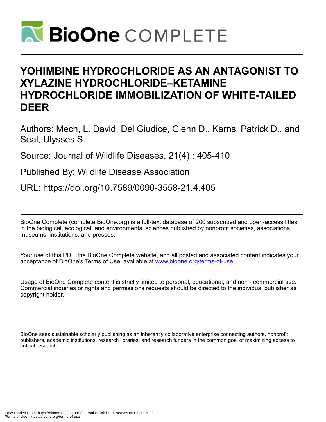

# **YOHIMBINE HYDROCHLORIDE AS AN ANTAGONIST TO XYLAZINE HYDROCHLORIDE–KETAMINE HYDROCHLORIDE IMMOBILIZATION OF WHITE-TAILED DEER**

Authors: Mech, L. David, Del Giudice, Glenn D., Karns, Patrick D., and Seal, Ulysses S.

Source: Journal of Wildlife Diseases, 21(4) : 405-410

Published By: Wildlife Disease Association

URL: https://doi.org/10.7589/0090-3558-21.4.405

BioOne Complete (complete.BioOne.org) is a full-text database of 200 subscribed and open-access titles in the biological, ecological, and environmental sciences published by nonprofit societies, associations, museums, institutions, and presses.

Your use of this PDF, the BioOne Complete website, and all posted and associated content indicates your acceptance of BioOne's Terms of Use, available at www.bioone.org/terms-of-use.

Usage of BioOne Complete content is strictly limited to personal, educational, and non - commercial use. Commercial inquiries or rights and permissions requests should be directed to the individual publisher as copyright holder.

BioOne sees sustainable scholarly publishing as an inherently collaborative enterprise connecting authors, nonprofit publishers, academic institutions, research libraries, and research funders in the common goal of maximizing access to critical research.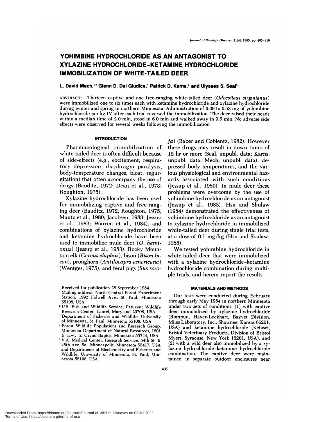# **YOHIMBINE HYDROCHLORIDE AS AN ANTAGONIST TO XYLAZINE HYDROCHLORIDE-KETAMINE HYDROCHLORIDE IMMOBILIZATION OF WHITE-TAILED DEER**

## **L. David Mech,12 Glenn D. Del Giudice,3 Patrick D. Kams,4 and Ulysses S. Seal5**

**ABSTRACT:** Thirteen captive and one free-ranging white-tailed deer *(Odocolleus virginianus)* were immobilized one to six times each with ketamine hydrochloride and xylazine hydrochloride during winter and spring in northern Minnesota. Administration of 0.09 to 0.53 mg of yohimbine hydrochloride per kg IV after each trial reversed the immobilization. The deer raised their heads within a median time of 2.0 min, stood in 6.0 min and walked away in 9.5 min. No adverse side effects were observed for several weeks following the immobilization.

#### **INTRODUCTION**

Pharmacological immobilization of white-tailed deer is often difficult because of side-effects (e.g., excitement, respiratory depression, diaphragm paralysis, body-temperature changes, bloat, regurgitation) that often accompany the use of drugs (Bauditz, 1972; Dean et al., 1973; Roughton, 1975).

Xylazine hydrochloride has been used for immobilizing captive and free-ranging deer (Bauditz, 1972; Roughton, 1975; Mautz et a!., 1980; Jacobsen, 1983; Jessup et al., 1983; Warren et al., 1984), and combinations of xylazine hydrochloride and ketamine hydrochloride have been used to immobilize mule deer *(0. hemionus*) (Jessup et al., 1983), Rocky Mountain elk *(Cervus elaphus),* bison *(Bison bison),* pronghorn *(An tilocapra americana)* (Wentges, 1975), and feral pigs *(Sus scro-* *fa*) (Baber and Coblentz, 1982). However these drugs may result in down times of 12 hr or more (Seal, unpub!. data; Karns, unpub!. data; Mech, unpub!. data), depressed body temperatures, and the various physiological and environmental hazards associated with such conditions (Jessup et al., 1980). In mule deer these problems were overcome by the use of vohimbine hydrochloride as an antagonist (Jessup et a!., 1983). Hsu and Shulaw (1984) demonstrated the effectiveness of yohimbine hydrochloride as an antagonist to xylazine hydrochloride in immobilized white-tailed deer during single trial tests, at a dose of 0.1 mg/kg (Hsu and Skulaw, 1985).

We tested yohimbine hydrochloride in white-tailed deer that were immobilized with a xylazine hydrochloride-ketamine hydrochloride combination during multiple trials, and herein report the results.

#### **MATERIALS AND METHODS**

Our tests were conducted during February through early May 1984 in northern Minnesota under two sets of conditions: (1) with captive deer immobilized by xylazine hydrochloride (Rompun, Haver-Lockhart, Bayvet Division, Miles Laboratory, Inc., Shawnee, Kansas 66201, USA) and ketamine hydrochloride (Ketaset, Bristol Veterinary Products, Division of Bristol Myers, Syracuse, New York 13201, USA), and (2) with a wild deer also immobilized by a xy lazine hydrochloride-ketamine hydrochloride combination. The captive deer were maintained in separate outdoor enclosures near

Downloaded From: https://bioone.org/journals/Journal-of-Wildlife-Diseases on 03 Jul 2022 Terms of Use: https://bioone.org/terms-of-use

Received for publication 28 September 1984.

<sup>1</sup> Mailing address: North Central Forest Experiment Station, 1992 Folwell Ave., St. Paul, Minnesota 55108, USA.

**<sup>2</sup>** U.S. Fish and Wildlife Service, Patuxent Wildlife Research Center, Laurel, Maryland 20708, USA.

**Department of Fisheries** and Wildlife, University of Minnesota, St. Paul, Minnesota 55108, USA.

Forest Wildlife Populations and Research Group, Minnesota Department of Natural Resources, 1201 E. Hwy. 2, Grand Rapids, Minnesota 55744, USA.

V.A. Medical Center, Research Service, 54th St. & 48th **Ave. So., Minneapolis, Minnesota** 55417, USA and Departments of Biochemistry and Fisheries and Wildlife, University of Minnesota, St. Paul, Min nesota 55108, USA.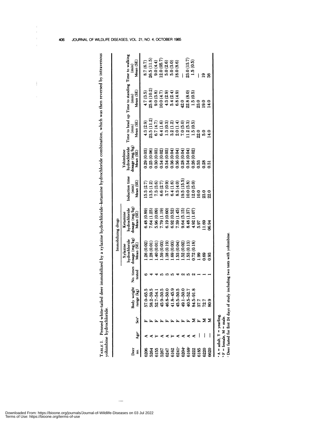|                                |     |                               |                                          |                     |                                                          | Immobilizing drugs                                       |                                                       |                                                           |                                      |                                                                                         |                                          |
|--------------------------------|-----|-------------------------------|------------------------------------------|---------------------|----------------------------------------------------------|----------------------------------------------------------|-------------------------------------------------------|-----------------------------------------------------------|--------------------------------------|-----------------------------------------------------------------------------------------|------------------------------------------|
| Deer<br>g.                     | Age | $\mathbf{\hat{x}}^{\text{t}}$ | Body weight<br>range (kg)                | No. times<br>tested | dosage (mg/kg)<br>hydrochloride<br>Mean (SE)<br>Xylazine | dosage (mg/kg)<br>hydrochloride<br>Mean (SE)<br>Ketamine | Induction time<br>Mean (SE)<br>$\widehat{\mathbf{E}}$ | hydrochloride<br>dosage (mg/kg)<br>Yohimbine<br>Mean (SE) | Mean (SE)<br>$\overline{\mathbf{m}}$ | Time to head up Time to standing Time to walking<br>Mean (SE)<br>$\widehat{\mathbf{e}}$ | Mean (SE)<br>$\overline{(\mathbf{min})}$ |
| 6206                           |     |                               | ທ<br>57.0-65                             |                     | 1.26(0.02)                                               | 6.48 (0.89)                                              | .5.3(2.7)                                             | 0.29(0.03)                                                | 4.3(2.9)                             | 4.7(3.5)                                                                                | 8.7(6.7)                                 |
| 5264                           |     |                               | $58.2 - 59$                              |                     | 1.28(0.01)                                               | 7.64(1.25)                                               | (3.5(1.2)                                             | 0.25(0.06)                                                | 23.5(11.2)                           | 25.8 (10.2)                                                                             | 26.5(11.5)                               |
| 6155                           |     |                               | <b>B</b> - B G B B G L B<br>$52.7 - 54$  |                     | 1.40 (0.01                                               | 5.96 (0.09)                                              | 7.3(3.6)                                              | 0.30(0.03)                                                | 6.7(4.7)                             | 9.0(3.8)                                                                                | 9.0(4.4)                                 |
| 5267                           |     |                               | $45.9 - 50$                              |                     | 1.59(0.03)                                               | 7.79 (1.19)                                              | 6.6(2.7)                                              | 0.34(0.02)                                                | 6.4(1.6)                             | 10.0(4.7)                                                                               | (2.0(05.7))                              |
| 6247                           |     |                               | 46.8-50                                  |                     | 1.38(0.19)                                               | 6.19(0.60)                                               | 3.7(0.9)                                              | 0.34(0.03)                                                | 1.3(0.3)                             | 4.3(2.9)                                                                                | 5.0(2.6)                                 |
| 6162                           |     |                               | $41.8 - 45$                              |                     | 1.69(0.03)                                               | 6.92(0.52)                                               | 6.4(1.6)                                              | 0.36(0.04)                                                | 3.2(1.2)                             | 5.4(2.4)                                                                                | 5.0(3.0)                                 |
| 6241                           |     |                               | $45.5 - 50$                              |                     | 1.53 (0.04)                                              | 7.39(1.45)                                               | 8.3(4.0)                                              | 0.36(0.04)                                                | 2.0(1.4)                             | 6.8(4.9)                                                                                | 18.0(8.6)                                |
| 6204                           |     |                               | $49.1 - 50$                              |                     | 1.52 (0.02)                                              | 9.64(5.15)                                               | (9.5(15.5))                                           | 0.28(0.04)                                                | 7.0(5.0)                             | 42.0                                                                                    |                                          |
| 6168                           |     | 匤                             | $40.5 - 52$                              |                     | 1.53(0.13)                                               | 8.48 (1.37)                                              | (0.0(3.8))                                            | 0.34(0.04)                                                | 11.2(5.3)                            | 22.8(8.0)                                                                               | 23.0(13.7)                               |
| 6222                           |     |                               | 84.5-9                                   |                     | 0.72(0.18)                                               | 4.92(1.07)                                               | (2.0(5.0)                                             | 0.26(0.02)                                                | 1.5(0.5)                             | 1.5(0.5)                                                                                | 1.5(0.5)                                 |
| 6185                           |     | Σ⊾                            | 37.7                                     |                     | 0.99                                                     | 5.97                                                     | $\overline{0.0}$                                      | 0.53                                                      | 22.0                                 | 23.0                                                                                    |                                          |
| 6220                           |     | ΣΣ                            | 72.7                                     |                     | 0.69                                                     | 11.69                                                    | 23.0                                                  | 0.28                                                      | 5.0                                  | 19.0                                                                                    | $\mathbf{e}$                             |
| 6620                           |     |                               | 80.9                                     |                     | 0.93                                                     | 06.94                                                    | 22.0                                                  | 3                                                         | 14.0                                 | 14.0                                                                                    | 36                                       |
| $A = addit$ , $Y = yearling$ . |     |                               |                                          |                     |                                                          |                                                          |                                                       |                                                           |                                      |                                                                                         |                                          |
| $\cdot$ F = female, M = male.  |     |                               | · Deer fasted for first 24 days of study |                     | including two tests with yohimbine.                      |                                                          |                                                       |                                                           |                                      |                                                                                         |                                          |
|                                |     |                               |                                          |                     |                                                          |                                                          |                                                       |                                                           |                                      |                                                                                         |                                          |
|                                |     |                               |                                          |                     |                                                          |                                                          |                                                       |                                                           |                                      |                                                                                         |                                          |

#### 406 JOURNAL OF WILDLIFE DISEASES, VOL. 21, NO. 4, OCTOBER 1985

 $\mathbb{I}$  $\mathbb{F}$  $\bar{1}$  $\bar{1}$ 

 $\overline{\phantom{a}}$ 

 $\hat{\mathbf{r}}$ 

Downloaded From: https://bioone.org/journals/Journal-of-Wildlife-Diseases on 03 Jul 2022 Terms of Use: https://bioone.org/terms-of-use

 $\overline{\phantom{a}}$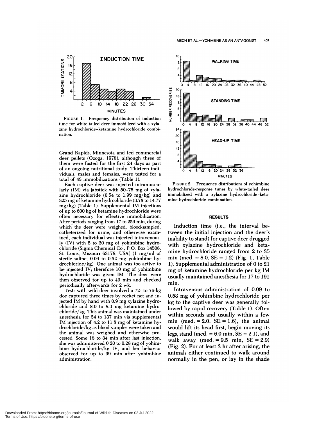

**FIGURE** 1. Frequency distribution of induction time for white-tailed deer immobilized with a xyla zine hydrochloride-ketamine hydrochloride combi nation.

Grand Rapids, Minnesota and fed commercial deer pellets (Ozoga, 1978), although three of them were fasted for the first 24 days as part of an ongoing nutritional study. Thirteen individuals, males and females, were tested for a total of 43 immobilizations (Table 1).

Each captive deer was injected intramuscu larly  $(IM)$  via jabstick with 50-75 mg of xylazine hydrochloride (0.54 to 1.99 mg/kg) and 325 mg of ketamine hydrochloride (3.78 to 14.77 mg/kg) (Table 1). Supplemental IM injections of up to 600 kg of ketamine hydrochloride were often necessary for effective immobilization. After periods ranging from 17 to 259 min, during which the deer were weighed, blood-sampled, catheterized for urine, and otherwise examined, each individual was injected intravenous-  $\mathbf{y}$  (IV) with 5 to 30 mg of yohimbine hydrochloride (Sigma Chemical Co., P.O. Box 14508, St. Louis, Missouri 63178, USA) (1 mg/m! of sterile saline,  $0.09$  to  $0.52$  mg yohimbine hydrochloride/kg). One animal was too active to be injected IV; therefore  $10$  mg of yohimbine hydrochloride was given IM. The deer were then observed for up to 49 min and checked periodically afterwards for 2 wk.

Tests with wild deer involved a 72- to 76-kg doe captured three times by rocket net and injected IM by hand with 0.9 mg xylazine hydrochloride and 8.0 to 8.3 mg ketamine hydrochloride/kg. This animal was maintained under anesthesia for 34 to 137 min via supplemental IM injection of 4.2 to 11.8 mg of ketamine hydrochloride/kg as blood samples were taken and the animal was weighed and otherwise processed. Some 18 to 34 min after last injection, she was administered 0.20 to 0.28 mg of yohimbine hydrochloride/kg IV, and her behavior observed for up to 99 min after yohimbine administration.



**FIGURE** 2. Frequency distributions of yohimbine hydrochloride-response **times** by white-tailed deer immobilized with a xylazine hydrochloride-keta mine hydrochloride combination.

#### **RESULTS**

Induction time (i.e., the interval between the initial injection and the deer's inability to stand) for captive deer drugged with xylazine hydrochloride and ketamine hydrochloride ranged from 2 to 35 min (med.  $= 8.0$ , SE  $= 1.2$ ) (Fig. 1, Table 1). Supplemental administration of 0 to 21 mg of ketamine hydrochloride per kg IM usually maintained anesthesia for 17 to 191

mm.Intravenous administration of 0.09 to 0.53 mg of yohimbine hydrochloride per kg to the captive deer was generally fo! lowed by rapid recovery (Table 1). Often within seconds and usually within a few min (med.  $= 2.0$ , SE  $= 1.6$ ), the animal would lift its head first, begin moving its legs, stand (med.  $= 6.0$  min,  $SE = 2.1$ ), and walk away (med.  $= 9.5$  min,  $SE = 2.9$ ) (Fig. 2). For at least 3 hr after arising, the animals either continued to walk around normally in the pen, or lay in the shade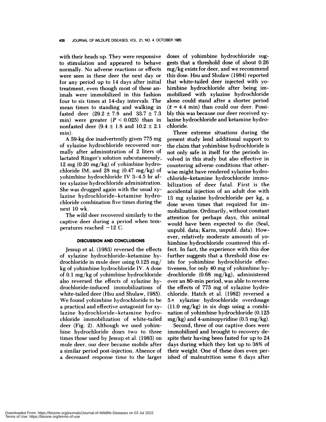with their heads up. They were responsive to stimulation and appeared to behave normally. No adverse reactions or effects were seen in these deer the next day or for any period up to 14 days after initial treatment, even though most of these animals were immobilized in this fashion four to six times at 14-day intervals. The mean times to standing and walking in fasted deer  $(29.2 \pm 7.8 \text{ and } 33.7 \pm 7.3)$ min) were greater  $(P < 0.025)$  than in nonfasted deer  $(9.4 \pm 1.8 \text{ and } 10.2 \pm 2.1)$ min).

A 59-kg doe inadvertently given 775 mg of xylazine hydrochloride recovered nor mally after administration of 2 liters of lactated Ringer's solution subcutaneously, 12 mg  $(0.20 \text{ mg/kg})$  of yohimbine hydrochloride IM, and 28 mg  $(0.47 \text{ mg/kg})$  of yohimbine hydrochloride IV 3-4.5 hr after xylazine hydrochloride administration. She was drugged again with the usual xylazine hydrochloride-ketamine hydrochloride combination five times during the next 10 wk.

The wild deer recovered similarly to the captive deer during a period when temperatures reached  $-12$  C.

### **DISCUSSION AND CONCLUSIONS**

Jessup et al. (1983) reversed the effects of xylazine hydrochloride-ketamine hydrochloride in mule deer using 0.125 mg/ kg of yohimbine hydrochloride IV. A dose of 0.1 mg/kg of yohimbine hydrochloride also reversed the effects of xylazine hydrochloride-induced immobilizations of white-tailed deer (Hsu and Shulaw, 1985). We found yohimbine hydrochloride to be a practical and effective antagonist for xylazine hydrochloride-ketamine hydrochloride immobilization of white-tailed deer (Fig. 2). Although we used yohimbine hydrochloride doses two to three times those used by Jessup et a!. (1983) on mule deer, our deer became mobile after a similar period post-injection. Absence of a decreased response time to the larger doses of yohimbine hydrochloride suggests that a threshold dose of about 0.26 mg/kg exists for deer, and we recommend this dose. Hsu and Shulaw (1984) reported that white-tailed deer injected with yohimbine hydrochloride after being immobilized with xylazine hydrochloride alone could stand after a shorter period  $(\bar{x} = 4.4 \text{ min})$  than could our deer. Possibly this was because our deer received xylazine hydrochloride and ketamine hydrochloride.

Three extreme situations during the present study lend additional support to the claim that yohimbine hydrochloride is not only safe in itself for the periods involved in this study but also effective in countering adverse conditions that otherwise might have rendered xylazine hydrochloride-ketamine hydrochloride immobilization of deer fatal. First is the accidental injection of an adult doe with 13 mg xylazine hydrochloride per kg, a dose seven times that required for immobilization. Ordinarily, without constant attention for perhaps days, this animal would have been expected to die (Seal, unpub!. data; Karns, unpubl. data). However, relatively moderate amounts of yohimbine hydrochloride countered this effect. In fact, the experience with this doe further suggests that a threshold dose exists for yohimbine hydrochloride effectiveness, for only 40 mg of yohimbine hydrochloride (0.68 mg/kg), administered over an 80-min period, was able to reverse the effects of 775 mg of xylazine hydrochloride. Hatch et a!. (1982) reversed a  $5 \times$  xylazine hydrochloride overdosage  $(11.0 \text{ mg/kg})$  in six dogs using a combination of yohimbine hydrochloride (0.125  $mg/kg$ ) and 4-aminopyridine (0.3 mg/kg).

Second, three of our captive does were immobilized and brought to recovery despite their having been fasted for up to 24 days during which they lost up to 38% of their weight. One of these does even perished of malnutrition some 6 days after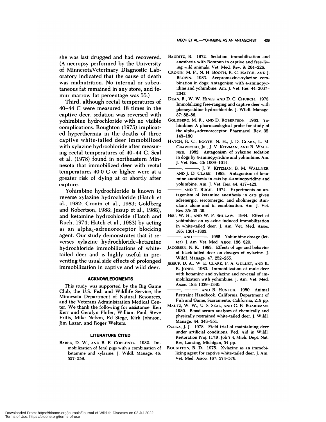she was last drugged and had recovered. (A necropsy performed by the University of MinnesotaVeterinary Diagnostic Laboratory indicated that the cause of death was malnutrition. No internal or subcutaneous fat remained in any store, and fe mur marrow fat percentage was 55.)

Third, although rectal temperatures of 40-44 C were measured 18 times in the captive deer, sedation was reversed with yohimbine hydrochloride with no visible complications. Roughton (1975) implicated hyperthermia in the deaths of three captive white-tailed deer immobilized with xylazine hydrochloride after measuring rectal temperatures of 40-44 C. Seal et a!. (1978) found in northeastern Minnesota that immobilized deer with recta! temperatures 40.0 C or higher were at a greater risk of dying at or shortly after capture.

Yohimbine hydrochloride is known to reverse xylazine hydrochloride (Hatch et a!., 1982; Cronin et a!., 1983; Goldberg and Robertson, 1983; Jessup et al., 1983), and ketamine hydrochloride (Hatch and Ruch, 1974; Hatch et al., 1983) by acting as an alpha<sub>2</sub>-adrenoreceptor blocking agent. Our study demonstrates that it re verses xylazine hydrochloride-ketamine hydrochloride immobilizations of whitetailed deer and is highly useful in preventing the usual side effects of prolonged immobilization in captive and wild deer.

### **ACKNOWLEDGMENTS**

This study was supported by the Big Game Club, the U.S. Fish and Wildlife Service, the Minnesota Department of Natural Resources, and the Veterans Administration Medical Center. We thank the following for assistance: Ken Kerr and Geralyn Phifer, William Paul, Steve Fritts, Mike Nelson, Ed Stege, Kirk Johnson, Jim Lazar, and Roger Welters.

#### **LITERATURE CITED**

**BABER,** D. W., **AND** B. E. **COBLENTz.** 1982. Immobilization of feral pigs with a combination of ketamine and xylazine. J. Wildl. Manage. 46: 557-559.

- BAUDITZ, R. 1972. Sedation, immobilization and anesthesia with Rompun in captive and free-living wild animals. Vet. Med. Rev. 9: 204-226.
- **CRONIN,** M. F. , N. H. BOOTH, R. C. **HATCH, AND** J. BROWN. 1983. Acepromazine-xylazine combination in dogs: Antagonism with 4-aminopyridine and yohimbine. Am. J. Vet. Res. 44: 2037-2042.
- **DEAN,** R., W. W. HINES, **AND** D. C. **CHURCH.** 1973. Immobilizing free-ranging and captive deer with phencyclidine hydrochloride. J. Wildl. Manage. 37: 82-86.
- **GOLDBERG,** M. R., **AND** D. **ROBERTSON.** 1983. Yo himbine: A pharmacological probe for study of the alpha<sub>2</sub>-adrenoreceptor. Pharmacol. Rev. 35: 143-180.
- **HATCH,** R. C., **BOOTH,**N. H., J. D. **CLARK,** L. M. **CRAWFORD, JR.,** J. V. **KITZMAN, AND** B. **WALL-NEll.** 1982. Antagonism ofxylazine sedation in dogs by 4-ammnopyridine and yohimbine. Am. J. Vet. Res. 43: 1009-1014.
- ,J. V. **KITZMAN,** B. M. **WALLNER, AND** J. D. **CLARK.** 1983. Antagonism of ketamine anesthesia in cats by 4-aminopyridine and yohimbine. Am. J. Vet. Res. 44: 417-423.
- **AND** T. **RUCH.** 1974. Experiments on antagonism of ketamine anesthesia in cats given adrenergic, serotonergic, and cholinergic stimulants alone and in combination. Am. J. Vet. Res. 35: 35-39.
- **HSU,** W. H., **AND** W. P. **SHULAW.** 1984. Effect of yohimbine on xylazine induced immobilization in white-tailed deer. J. Am. Vet. Med. Assoc. 185: 1301-1303.
- AND 1985. Yohimbine dosage (letter). J. Am. Vet. Med. Assoc. 186: 320.
- JACOBSEN, N. K. 1983. Effects of age and behavior of black-tailed deer on dosages of xylazine. J. Wildl. Manage. 47: 252-255.
- **JESSUP,** D. A., W. E. **CLARK,** P. A. **GULLET, AND** K. R. **JONES.** 1983. Immobilization of mule deer with ketamine and xylazine and reversal of im mobilization with yohimbine. J. Am. Vet. Med. Assoc. 183: 1339-1340.
- **AND** B. **HUNTER.** 1980. Animal Restraint Handbook. California Department of Fish and Game, Sacramento, California, 219 pp.
- MAUTZ, W. W., U. S. **SEAL, AND** C. B. BOARDMAN. 1980. Blood serum analyses of chemically and physically restrained white-tailed deer. J. Wildi. Manage. 44: 343-351.
- OZOCA, J. J. 1978. Field trial of maintaining deer under artificial conditions. Fed. Aid in Wildl. Restoration Proj. 117R, Job 7.4, Mich. Dept. Nat. Res, Lansing, Michigan, 54 pp.
- **ROUGHTON,** R. D. 1975. Xylazine as an immobilizing agent for captive white-tailed deer. J. Am. Vet. Med. Assoc.167: 574-576.